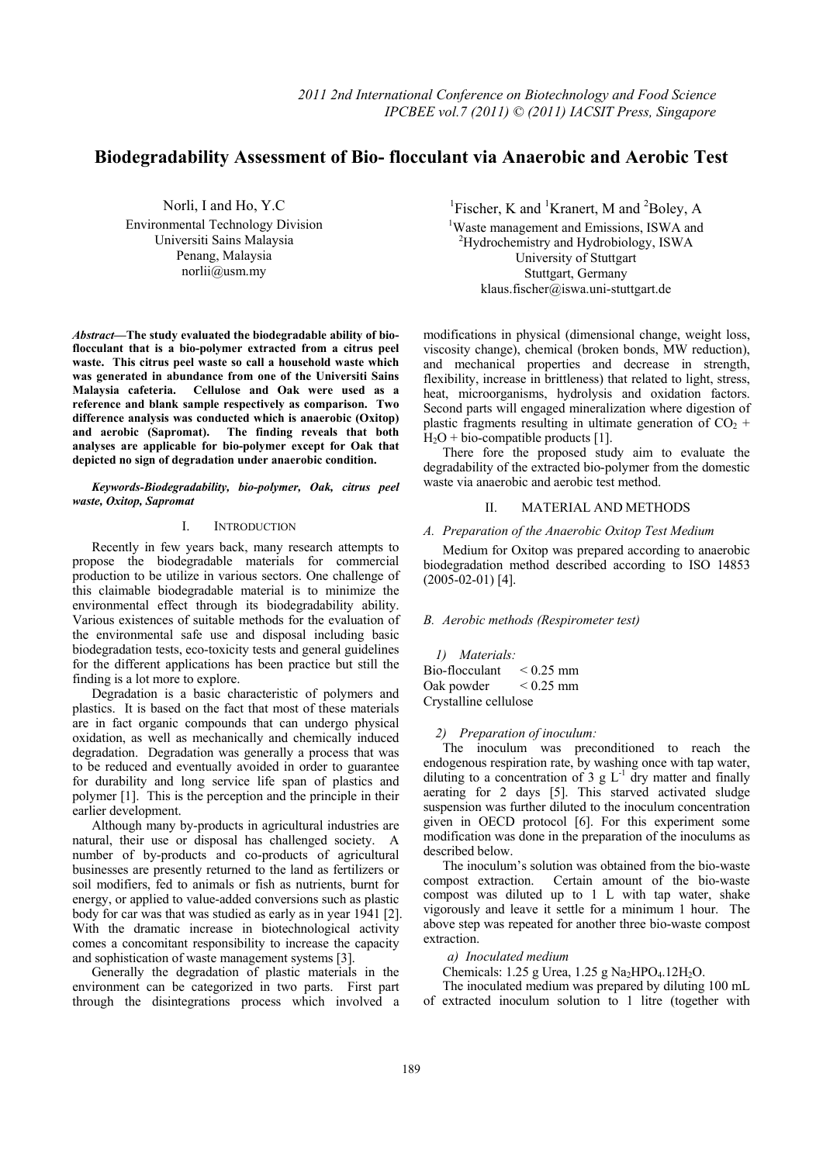# **Biodegradability Assessment of Bio- flocculant via Anaerobic and Aerobic Test**

Norli, I and Ho, Y.C Environmental Technology Division Universiti Sains Malaysia Penang, Malaysia norlii@usm.my

*Abstract***—The study evaluated the biodegradable ability of bioflocculant that is a bio-polymer extracted from a citrus peel waste. This citrus peel waste so call a household waste which was generated in abundance from one of the Universiti Sains Malaysia cafeteria. Cellulose and Oak were used as a reference and blank sample respectively as comparison. Two difference analysis was conducted which is anaerobic (Oxitop)**  and aerobic (Sapromat). The finding reveals that both **analyses are applicable for bio-polymer except for Oak that depicted no sign of degradation under anaerobic condition.** 

*Keywords-Biodegradability, bio-polymer, Oak, citrus peel waste, Oxitop, Sapromat* 

#### I. INTRODUCTION

Recently in few years back, many research attempts to propose the biodegradable materials for commercial production to be utilize in various sectors. One challenge of this claimable biodegradable material is to minimize the environmental effect through its biodegradability ability. Various existences of suitable methods for the evaluation of the environmental safe use and disposal including basic biodegradation tests, eco-toxicity tests and general guidelines for the different applications has been practice but still the finding is a lot more to explore.

Degradation is a basic characteristic of polymers and plastics. It is based on the fact that most of these materials are in fact organic compounds that can undergo physical oxidation, as well as mechanically and chemically induced degradation. Degradation was generally a process that was to be reduced and eventually avoided in order to guarantee for durability and long service life span of plastics and polymer [1]. This is the perception and the principle in their earlier development.

Although many by-products in agricultural industries are natural, their use or disposal has challenged society. A number of by-products and co-products of agricultural businesses are presently returned to the land as fertilizers or soil modifiers, fed to animals or fish as nutrients, burnt for energy, or applied to value-added conversions such as plastic body for car was that was studied as early as in year 1941 [2]. With the dramatic increase in biotechnological activity comes a concomitant responsibility to increase the capacity and sophistication of waste management systems [3].

Generally the degradation of plastic materials in the environment can be categorized in two parts. First part through the disintegrations process which involved a <sup>1</sup>Fischer, K and <sup>1</sup>Kranert, M and <sup>2</sup>Boley, A  $\frac{1 \text{W} \cdot \text{R}}{2}$ 

<sup>1</sup>Waste management and Emissions, ISWA and 2 Hydrochemistry and Hydrobiology, ISWA University of Stuttgart Stuttgart, Germany klaus.fischer@iswa.uni-stuttgart.de

modifications in physical (dimensional change, weight loss, viscosity change), chemical (broken bonds, MW reduction), and mechanical properties and decrease in strength, flexibility, increase in brittleness) that related to light, stress, heat, microorganisms, hydrolysis and oxidation factors. Second parts will engaged mineralization where digestion of plastic fragments resulting in ultimate generation of  $CO<sub>2</sub>$  +  $H<sub>2</sub>O$  + bio-compatible products [1].

There fore the proposed study aim to evaluate the degradability of the extracted bio-polymer from the domestic waste via anaerobic and aerobic test method.

## II. MATERIAL AND METHODS

#### *A. Preparation of the Anaerobic Oxitop Test Medium*

Medium for Oxitop was prepared according to anaerobic biodegradation method described according to ISO 14853 (2005-02-01) [4].

#### *B. Aerobic methods (Respirometer test)*

*1) Materials:*  Bio-flocculant  $\leq 0.25$  mm Oak powder < 0.25 mm Crystalline cellulose

#### *2) Preparation of inoculum:*

The inoculum was preconditioned to reach the endogenous respiration rate, by washing once with tap water, diluting to a concentration of  $3 \text{ g L}^{-1}$  dry matter and finally aerating for 2 days [5]. This starved activated sludge suspension was further diluted to the inoculum concentration given in OECD protocol [6]. For this experiment some modification was done in the preparation of the inoculums as described below.

The inoculum's solution was obtained from the bio-waste compost extraction. Certain amount of the bio-waste compost was diluted up to 1 L with tap water, shake vigorously and leave it settle for a minimum 1 hour. The above step was repeated for another three bio-waste compost extraction.

*a) Inoculated medium* 

Chemicals:  $1.25$  g Urea,  $1.25$  g Na<sub>2</sub>HPO<sub>4</sub>.12H<sub>2</sub>O.

The inoculated medium was prepared by diluting 100 mL of extracted inoculum solution to 1 litre (together with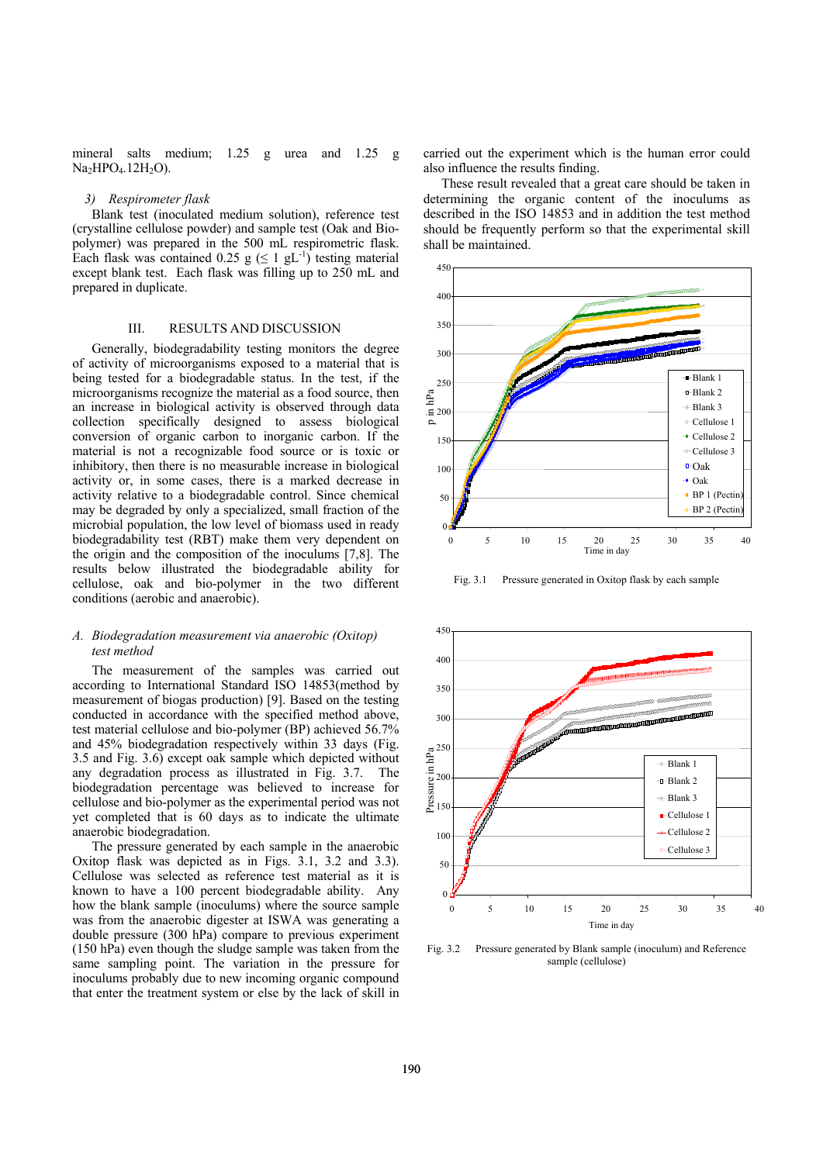mineral salts medium; 1.25 g urea and 1.25 g  $Na<sub>2</sub>HPO<sub>4</sub>.12H<sub>2</sub>O$ ).

#### *3) Respirometer flask*

Blank test (inoculated medium solution), reference test (crystalline cellulose powder) and sample test (Oak and Biopolymer) was prepared in the 500 mL respirometric flask. Each flask was contained 0.25 g ( $\leq 1$  gL<sup>-1</sup>) testing material except blank test. Each flask was filling up to 250 mL and prepared in duplicate.

#### III. RESULTS AND DISCUSSION

Generally, biodegradability testing monitors the degree of activity of microorganisms exposed to a material that is being tested for a biodegradable status. In the test, if the microorganisms recognize the material as a food source, then an increase in biological activity is observed through data collection specifically designed to assess biological conversion of organic carbon to inorganic carbon. If the material is not a recognizable food source or is toxic or inhibitory, then there is no measurable increase in biological activity or, in some cases, there is a marked decrease in activity relative to a biodegradable control. Since chemical may be degraded by only a specialized, small fraction of the microbial population, the low level of biomass used in ready biodegradability test (RBT) make them very dependent on the origin and the composition of the inoculums [7,8]. The results below illustrated the biodegradable ability for cellulose, oak and bio-polymer in the two different conditions (aerobic and anaerobic).

#### *A. Biodegradation measurement via anaerobic (Oxitop) test method*

The measurement of the samples was carried out according to International Standard ISO 14853(method by measurement of biogas production) [9]. Based on the testing conducted in accordance with the specified method above, test material cellulose and bio-polymer (BP) achieved 56.7% and 45% biodegradation respectively within 33 days (Fig. 3.5 and Fig. 3.6) except oak sample which depicted without any degradation process as illustrated in Fig. 3.7. The biodegradation percentage was believed to increase for cellulose and bio-polymer as the experimental period was not yet completed that is 60 days as to indicate the ultimate anaerobic biodegradation.

The pressure generated by each sample in the anaerobic Oxitop flask was depicted as in Figs. 3.1, 3.2 and 3.3). Cellulose was selected as reference test material as it is known to have a 100 percent biodegradable ability. Any how the blank sample (inoculums) where the source sample was from the anaerobic digester at ISWA was generating a double pressure (300 hPa) compare to previous experiment (150 hPa) even though the sludge sample was taken from the same sampling point. The variation in the pressure for inoculums probably due to new incoming organic compound that enter the treatment system or else by the lack of skill in carried out the experiment which is the human error could also influence the results finding.

These result revealed that a great care should be taken in determining the organic content of the inoculums as described in the ISO 14853 and in addition the test method should be frequently perform so that the experimental skill shall be maintained.



Fig. 3.1 Pressure generated in Oxitop flask by each sample



Fig. 3.2 Pressure generated by Blank sample (inoculum) and Reference sample (cellulose)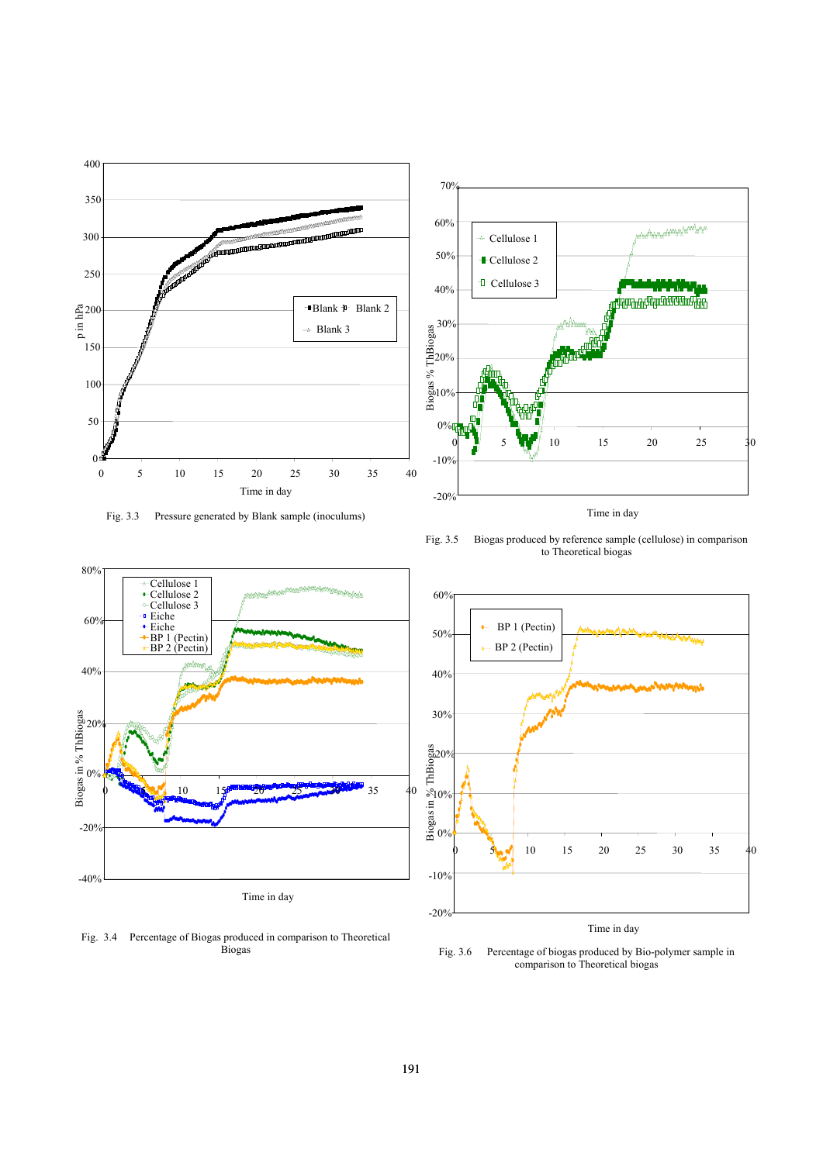

Fig. 3.3 Pressure generated by Blank sample (inoculums)



Fig. 3.4 Percentage of Biogas produced in comparison to Theoretical Biogas



Time in day

Fig. 3.5 Biogas produced by reference sample (cellulose) in comparison to Theoretical biogas



Time in day

Fig. 3.6 Percentage of biogas produced by Bio-polymer sample in comparison to Theoretical biogas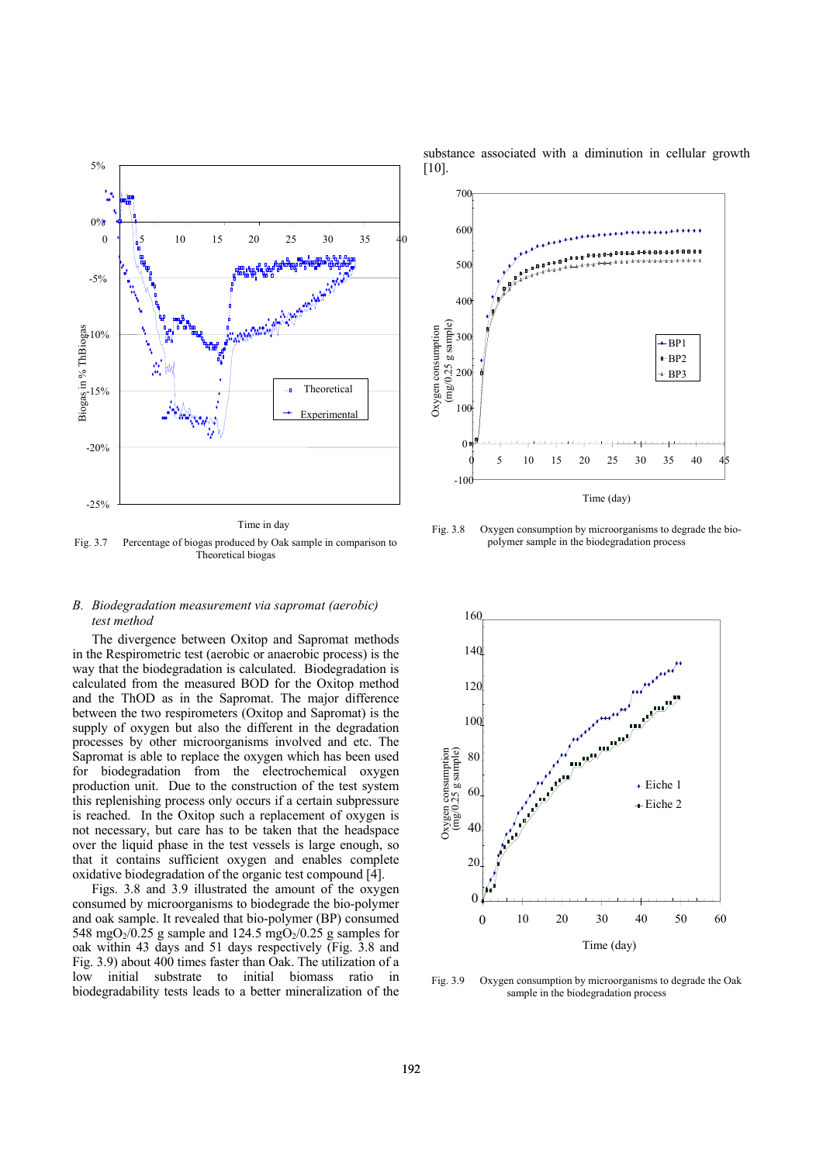

Fig. 3.7 Percentage of biogas produced by Oak sample in comparison to Theoretical biogas

# *B. Biodegradation measurement via sapromat (aerobic) test method*

The divergence between Oxitop and Sapromat methods in the Respirometric test (aerobic or anaerobic process) is the way that the biodegradation is calculated. Biodegradation is calculated from the measured BOD for the Oxitop method and the ThOD as in the Sapromat. The major difference between the two respirometers (Oxitop and Sapromat) is the supply of oxygen but also the different in the degradation processes by other microorganisms involved and etc. The Sapromat is able to replace the oxygen which has been used for biodegradation from the electrochemical oxygen production unit. Due to the construction of the test system this replenishing process only occurs if a certain subpressure is reached. In the Oxitop such a replacement of oxygen is not necessary, but care has to be taken that the headspace over the liquid phase in the test vessels is large enough, so that it contains sufficient oxygen and enables complete oxidative biodegradation of the organic test compound [4].

Figs. 3.8 and 3.9 illustrated the amount of the oxygen consumed by microorganisms to biodegrade the bio-polymer and oak sample. It revealed that bio-polymer (BP) consumed 548 mgO<sub>2</sub>/0.25 g sample and 124.5 mgO<sub>2</sub>/0.25 g samples for oak within 43 days and 51 days respectively (Fig. 3.8 and Fig. 3.9) about 400 times faster than Oak. The utilization of a low initial substrate to initial biomass ratio in biodegradability tests leads to a better mineralization of the

substance associated with a diminution in cellular growth  $[10]$ .



Fig. 3.8 Oxygen consumption by microorganisms to degrade the biopolymer sample in the biodegradation process



Fig. 3.9 Oxygen consumption by microorganisms to degrade the Oak sample in the biodegradation process